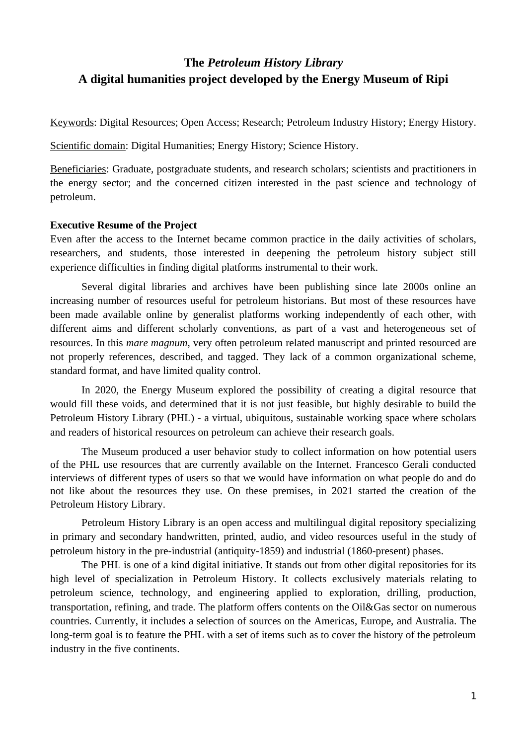# **The** *Petroleum History Library* **A digital humanities project developed by the Energy Museum of Ripi**

Keywords: Digital Resources; Open Access; Research; Petroleum Industry History; Energy History.

Scientific domain: Digital Humanities; Energy History; Science History.

Beneficiaries: Graduate, postgraduate students, and research scholars; scientists and practitioners in the energy sector; and the concerned citizen interested in the past science and technology of petroleum.

#### **Executive Resume of the Project**

Even after the access to the Internet became common practice in the daily activities of scholars, researchers, and students, those interested in deepening the petroleum history subject still experience difficulties in finding digital platforms instrumental to their work.

Several digital libraries and archives have been publishing since late 2000s online an increasing number of resources useful for petroleum historians. But most of these resources have been made available online by generalist platforms working independently of each other, with different aims and different scholarly conventions, as part of a vast and heterogeneous set of resources. In this *mare magnum*, very often petroleum related manuscript and printed resourced are not properly references, described, and tagged. They lack of a common organizational scheme, standard format, and have limited quality control.

In 2020, the Energy Museum explored the possibility of creating a digital resource that would fill these voids, and determined that it is not just feasible, but highly desirable to build the Petroleum History Library (PHL) - a virtual, ubiquitous, sustainable working space where scholars and readers of historical resources on petroleum can achieve their research goals.

The Museum produced a user behavior study to collect information on how potential users of the PHL use resources that are currently available on the Internet. Francesco Gerali conducted interviews of different types of users so that we would have information on what people do and do not like about the resources they use. On these premises, in 2021 started the creation of the Petroleum History Library.

Petroleum History Library is an open access and multilingual digital repository specializing in primary and secondary handwritten, printed, audio, and video resources useful in the study of petroleum history in the pre-industrial (antiquity-1859) and industrial (1860-present) phases.

The PHL is one of a kind digital initiative. It stands out from other digital repositories for its high level of specialization in Petroleum History. It collects exclusively materials relating to petroleum science, technology, and engineering applied to exploration, drilling, production, transportation, refining, and trade. The platform offers contents on the Oil&Gas sector on numerous countries. Currently, it includes a selection of sources on the Americas, Europe, and Australia. The long-term goal is to feature the PHL with a set of items such as to cover the history of the petroleum industry in the five continents.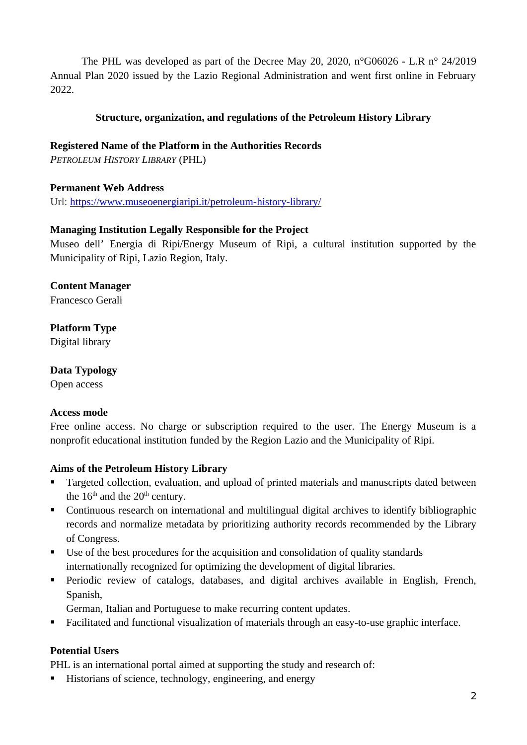The PHL was developed as part of the Decree May 20, 2020, n°G06026 - L.R n° 24/2019 Annual Plan 2020 issued by the Lazio Regional Administration and went first online in February 2022.

### **Structure, organization, and regulations of the Petroleum History Library**

#### **Registered Name of the Platform in the Authorities Records**

*PETROLEUM HISTORY LIBRARY* (PHL)

#### **Permanent Web Address**

Url: https://www.museoenergiaripi.it/petroleum-history-library/

#### **Managing Institution Legally Responsible for the Project**

Museo dell' Energia di Ripi/Energy Museum of Ripi, a cultural institution supported by the Municipality of Ripi, Lazio Region, Italy.

#### **Content Manager**

Francesco Gerali

# **Platform Type**

Digital library

#### **Data Typology** Open access

## **Access mode**

Free online access. No charge or subscription required to the user. The Energy Museum is a nonprofit educational institution funded by the Region Lazio and the Municipality of Ripi.

#### **Aims of the Petroleum History Library**

- Targeted collection, evaluation, and upload of printed materials and manuscripts dated between the  $16<sup>th</sup>$  and the  $20<sup>th</sup>$  century.
- Continuous research on international and multilingual digital archives to identify bibliographic records and normalize metadata by prioritizing authority records recommended by the Library of Congress.
- Use of the best procedures for the acquisition and consolidation of quality standards internationally recognized for optimizing the development of digital libraries.
- Periodic review of catalogs, databases, and digital archives available in English, French, Spanish,

German, Italian and Portuguese to make recurring content updates.

Facilitated and functional visualization of materials through an easy-to-use graphic interface.

## **Potential Users**

PHL is an international portal aimed at supporting the study and research of:

■ Historians of science, technology, engineering, and energy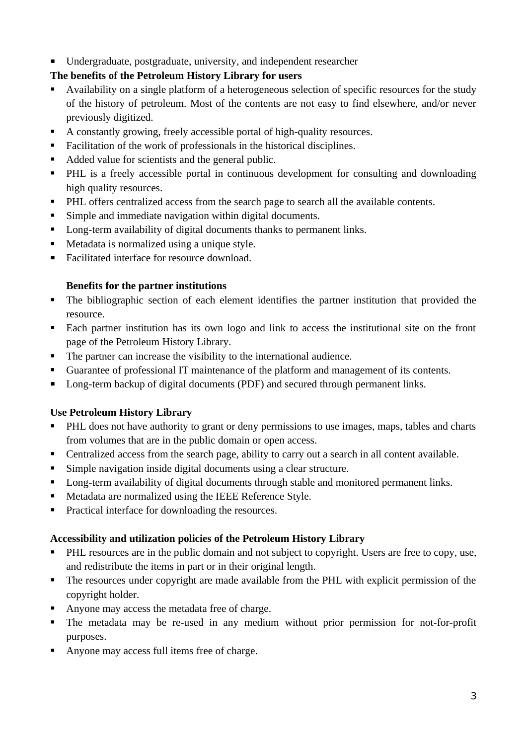Undergraduate, postgraduate, university, and independent researcher

# **The benefits of the Petroleum History Library for users**

- Availability on a single platform of a heterogeneous selection of specific resources for the study of the history of petroleum. Most of the contents are not easy to find elsewhere, and/or never previously digitized.
- A constantly growing, freely accessible portal of high-quality resources.
- Facilitation of the work of professionals in the historical disciplines.
- Added value for scientists and the general public.
- PHL is a freely accessible portal in continuous development for consulting and downloading high quality resources.
- **PHL** offers centralized access from the search page to search all the available contents.
- Simple and immediate navigation within digital documents.
- Long-term availability of digital documents thanks to permanent links.
- Metadata is normalized using a unique style.
- Facilitated interface for resource download.

# **Benefits for the partner institutions**

- The bibliographic section of each element identifies the partner institution that provided the resource.
- Each partner institution has its own logo and link to access the institutional site on the front page of the Petroleum History Library.
- The partner can increase the visibility to the international audience.
- Guarantee of professional IT maintenance of the platform and management of its contents.
- Long-term backup of digital documents (PDF) and secured through permanent links.

# **Use Petroleum History Library**

- **PHL** does not have authority to grant or deny permissions to use images, maps, tables and charts from volumes that are in the public domain or open access.
- **•** Centralized access from the search page, ability to carry out a search in all content available.
- Simple navigation inside digital documents using a clear structure.
- **Long-term availability of digital documents through stable and monitored permanent links.**
- **Metadata are normalized using the IEEE Reference Style.**
- **Practical interface for downloading the resources.**

# **Accessibility and utilization policies of the Petroleum History Library**

- **PHL resources are in the public domain and not subject to copyright. Users are free to copy, use,** and redistribute the items in part or in their original length.
- The resources under copyright are made available from the PHL with explicit permission of the copyright holder.
- Anyone may access the metadata free of charge.
- The metadata may be re-used in any medium without prior permission for not-for-profit purposes.
- Anyone may access full items free of charge.